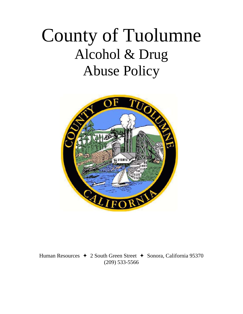# County of Tuolumne Alcohol & Drug Abuse Policy



Human Resources  $\rightarrow$  2 South Green Street  $\rightarrow$  Sonora, California 95370 (209) 533-5566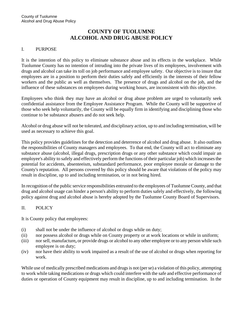# **COUNTY OF TUOLUMNE ALCOHOL AND DRUG ABUSE POLICY**

#### I. PURPOSE

It is the intention of this policy to eliminate substance abuse and its effects in the workplace. While Tuolumne County has no intention of intruding into the private lives of its employees, involvement with drugs and alcohol can take its toll on job performance and employee safety. Our objective is to insure that employees are in a position to perform their duties safely and efficiently in the interests of their fellow workers and the public as well as themselves. The presence of drugs and alcohol on the job, and the influence of these substances on employees during working hours, are inconsistent with this objective.

Employees who think they may have an alcohol or drug abuse problem are urged to voluntarily seek confidential assistance from the Employee Assistance Program. While the County will be supportive of those who seek help voluntarily, the County will be equally firm in identifying and disciplining those who continue to be substance abusers and do not seek help.

Alcohol or drug abuse will not be tolerated, and disciplinary action, up to and including termination, will be used as necessary to achieve this goal.

This policy provides guidelines for the detection and deterrence of alcohol and drug abuse. It also outlines the responsibilities of County managers and employees. To that end, the County will act to eliminate any substance abuse (alcohol, illegal drugs, prescription drugs or any other substance which could impair an employee's ability to safely and effectively perform the functions of their particular job) which increases the potential for accidents, absenteeism, substandard performance, poor employee morale or damage to the County's reputation. All persons covered by this policy should be aware that violations of the policy may result in discipline, up to and including termination, or in not being hired.

In recognition of the public service responsibilities entrusted to the employees of Tuolumne County, and that drug and alcohol usage can hinder a person's ability to perform duties safely and effectively, the following policy against drug and alcohol abuse is hereby adopted by the Tuolumne County Board of Supervisors.

#### II. POLICY

It is County policy that employees:

- (i) shall not be under the influence of alcohol or drugs while on duty;
- (ii) nor possess alcohol or drugs while on County property or at work locations or while in uniform;
- (iii) nor sell, manufacture**,** or provide drugs or alcohol to any other employee or to any person while such employee is on duty;
- (iv) nor have their ability to work impaired as a result of the use of alcohol or drugs when reporting for work.

While use of medically prescribed medications and drugs is not (per se) a violation of this policy, attempting to work while taking medications or drugs which could interfere with the safe and effective performance of duties or operation of County equipment may result in discipline, up to and including termination. In the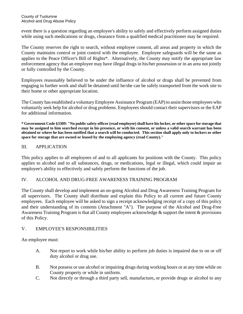event there is a question regarding an employee's ability to safely and effectively perform assigned duties while using such medications or drugs, clearance from a qualified medical practitioner may be required.

The County reserves the right to search, without employee consent, all areas and property in which the County maintains control or joint control with the employee. Employee safeguards will be the same as applies to the Peace Officer's Bill of Rights\*. Alternatively, the County may notify the appropriate law enforcement agency that an employee may have illegal drugs in his/her possession or in an area not jointly or fully controlled by the County.

Employees reasonably believed to be under the influence of alcohol or drugs shall be prevented from engaging in further work and shall be detained until he/she can be safely transported from the work site to their home or other appropriate location.

The County has established a voluntary Employee Assistance Program (EAP) to assist those employees who voluntarily seek help for alcohol or drug problems. Employees should contact their supervisors or the EAP for additional information.

**\* Government Code §3309: "No public safety officer (read employee) shall have his locker, or other space for storage that may be assigned to him searched except in his presence, or with his consent, or unless a valid search warrant has been obtained or where he has been notified that a search will be conducted. This section shall apply only to lockers or other space for storage that are owned or leased by the employing agency (read County)."** 

# III. APPLICATION

This policy applies to all employees of and to all applicants for positions with the County. This policy applies to alcohol and to all substances, drugs, or medications, legal or illegal, which could impair an employee's ability to effectively and safely perform the functions of the job.

#### IV. ALCOHOL AND DRUG-FREE AWARENESS TRAINING PROGRAM

The County shall develop and implement an on-going Alcohol and Drug Awareness Training Program for all supervisors. The County shall distribute and explain this Policy to all current and future County employees. Each employee will be asked to sign a receipt acknowledging receipt of a copy of this policy and their understanding of its contents (Attachment "A"). The purpose of the Alcohol and Drug-Free Awareness Training Program is that all County employees acknowledge & support the intent & provisions of this Policy.

#### V. EMPLOYEE'S RESPONSIBILITIES

An employee must:

- A. Not report to work while his/her ability to perform job duties is impaired due to on or off duty alcohol or drug use.
- B. Not possess or use alcohol or impairing drugs during working hours or at any time while on County property or while in uniform.
- C. Not directly or through a third party sell, manufacture**,** or provide drugs or alcohol to any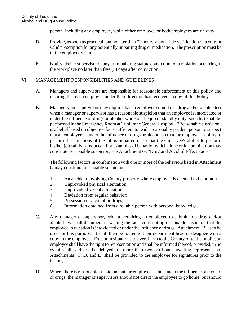person, including any employee, while either employee or both employees are on duty;

- D. Provide, as soon as practical, but no later than 72 hours, a bona fide verification of a current valid prescription for any potentially impairing drug or medication. The prescription must be in the employee's name.
- E. Notify his/her supervisor of any criminal drug statute conviction for a violation occurring in the workplace no later than five (5) days after conviction.

#### VI. MANAGEMENT RESPONSIBILITIES AND GUIDELINES

- A. Managers and supervisors are responsible for reasonable enforcement of this policy and insuring that each employee under their direction has received a copy of this Policy.
- B. Managers and supervisors may require that an employee submit to a drug and/or alcohol test when a manager or supervisor has a reasonable suspicion that an employee is intoxicated or under the influence of drugs or alcohol while on the job or standby duty, such test shall be performed in the Emergency Room at Tuolumne General Hospital. "Reasonable suspicion" is a belief based on objective facts sufficient to lead a reasonably prudent person to suspect that an employee is under the influence of drugs or alcohol so that the employee's ability to perform the functions of the job is impaired or so that the employee's ability to perform his/her job safely is reduced. For examples of behavior which alone or in combination may constitute reasonable suspicion, see Attachment G, "Drug and Alcohol Effect Facts".

The following factors in combination with one or more of the behaviors listed in Attachment G may constitute reasonable suspicion:

- 1. An accident involving County property where employee is deemed to be at fault.
- 2. Unprovoked physical altercation;
- 3. Unprovoked verbal altercation;
- 4. Deviation from regular behavior;
- 5. Possession of alcohol or drugs;
- 6. Information obtained from a reliable person with personal knowledge.
- C. Any manager or supervisor, prior to requiring an employee to submit to a drug and/or alcohol test shall document in writing the facts constituting reasonable suspicion that the employee in question is intoxicated or under the influence of drugs. Attachment "B" is to be used for this purpose. It shall then be routed to their department head or designee with a copy to the employee. Except in situations to avert harm to the County or to the public, an employee shall have the right to representation and shall be informed thereof; provided, in no event shall said test be delayed for more than two (2) hours awaiting representation. Attachments "C, D, and E" shall be provided to the employee for signatures prior to the testing.
- D. Where there is reasonable suspicion that the employee is then under the influence of alcohol or drugs, the manager or supervisors should not direct the employee to go home, but should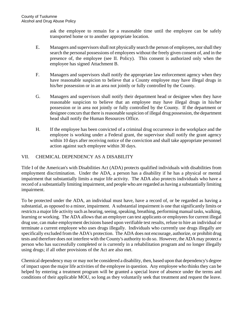ask the employee to remain for a reasonable time until the employee can be safely transported home or to another appropriate location.

- E. Managers and supervisors shall not physically search the person of employees, nor shall they search the personal possessions of employees without the freely given consent of, and in the presence of, the employee (see II. Policy). This consent is authorized only when the employee has signed Attachment B.
- F. Managers and supervisors shall notify the appropriate law enforcement agency when they have reasonable suspicion to believe that a County employee may have illegal drugs in his/her possession or in an area not jointly or fully controlled by the County.
- G. Managers and supervisors shall notify their department head or designee when they have reasonable suspicion to believe that an employee may have illegal drugs in his/her possession or in area not jointly or fully controlled by the County. If the department or designee concurs that there is reasonable suspicion of illegal drug possession, the department head shall notify the Human Resources Office.
- H. If the employee has been convicted of a criminal drug occurrence in the workplace and the employee is working under a Federal grant, the supervisor shall notify the grant agency within 10 days after receiving notice of the conviction and shall take appropriate personnel action against such employee within 30 days.

# VII. CHEMICAL DEPENDENCY AS A DISABILITY

Title I of the American's with Disabilities Act (ADA) protects qualified individuals with disabilities from employment discrimination. Under the ADA, a person has a disability if he has a physical or mental impairment that substantially limits a major life activity. The ADA also protects individuals who have a record of a substantially limiting impairment, and people who are regarded as having a substantially limiting impairment.

To be protected under the ADA, an individual must have, have a record of, or be regarded as having a substantial, as opposed to a minor, impairment. A substantial impairment is one that significantly limits or restricts a major life activity such as hearing, seeing, speaking, breathing, performing manual tasks, walking, learning or working. The ADA allows that an employer can test applicants or employees for current illegal drug use, can make employment decisions based upon verifiable test results, refuse to hire an individual or terminate a current employee who uses drugs illegally. Individuals who currently use drugs illegally are specifically excluded from the ADA's protection. The ADA does not encourage, authorize, or prohibit drug tests and therefore does not interfere with the County's authority to do so. However, the ADA may protect a person who has successfully completed or is currently in a rehabilitation program and no longer illegally using drugs; if all other provisions of the Act are also met.

Chemical dependency may or may not be considered a disability, then, based upon that dependency's degree of impact upon the major life activities of the employee in question. Any employee who thinks they can be helped by entering a treatment program will be granted a special leave of absence under the terms and conditions of their applicable MOU, so long as they voluntarily seek that treatment and request the leave.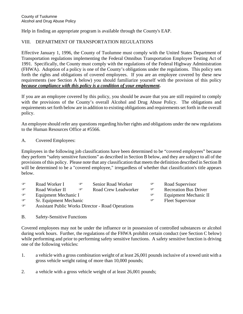Help in finding an appropriate program is available through the County's EAP.

# VIII. DEPARTMENT OF TRANSPORTATION REGULATIONS

Effective January 1, 1996, the County of Tuolumne must comply with the United States Department of Transportation regulations implementing the Federal Omnibus Transportation Employee Testing Act of 1991. Specifically, the County must comply with the regulations of the Federal Highway Administration (FHWA). Adoption of a policy is one of the County's obligations under the regulations. This policy sets forth the rights and obligations of covered employees. If you are an employee covered by these new requirements (see Section A below) you should familiarize yourself with the provision of this policy *because compliance with this policy is a condition of your employment***.**

If you are an employee covered by this policy, you should be aware that you are still required to comply with the provisions of the County's overall Alcohol and Drug Abuse Policy. The obligations and requirements set forth below are in addition to existing obligations and requirements set forth in the overall policy.

An employee should refer any questions regarding his/her rights and obligations under the new regulations to the Human Resources Office at #5566.

A. Covered Employees:

Employees in the following job classifications have been determined to be "covered employees" because they perform "safety sensitive functions" as described in Section B below, and they are subject to all of the provisions of this policy. Please note that any classification that meets the definition described in Section B will be determined to be a "covered employee," irregardless of whether that classification's title appears below.

- **Example 3** Senior Road Worker **I Road Supervisor C**
- **The Soud Worker II Compared Crew Leadworker Compared Property** Recreation Bus Driver
- **Equipment Mechanic I Equipment Mechanic II Constant Constant Constant Constant Constant Constant Constant Constant Constant Constant Constant Constant Constant Constant Constant Constant Constant Constant Constant Con**
- **Example 1** Sr. Equipment Mechanic **Containers** and Containers are the Fleet Supervisor
- 
- 
- 
- 
- ) Assistant Public Works Director Road Operations
- B. Safety-Sensitive Functions

Covered employees may not be under the influence or in possession of controlled substances or alcohol during work hours. Further, the regulations of the FHWA prohibit certain conduct (see Section C below) while performing and prior to performing safety sensitive functions. A safety sensitive function is driving one of the following vehicles:

- 1. a vehicle with a gross combination weight of at least 26,001 pounds inclusive of a towed unit with a gross vehicle weight rating of more than 10,000 pounds;
- 2. a vehicle with a gross vehicle weight of at least 26,001 pounds;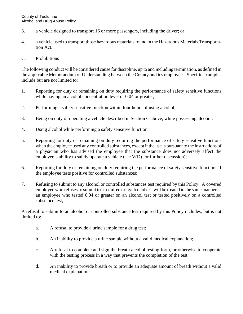- 3. a vehicle designed to transport 16 or more passengers, including the driver; or
- 4. a vehicle used to transport those hazardous materials found in the Hazardous Materials Transportation Act.
- C. Prohibitions

The following conduct will be considered cause for discipline, up to and including termination, as defined in the applicable Memorandum of Understanding between the County and it's employees. Specific examples include but are not limited to:

- 1. Reporting for duty or remaining on duty requiring the performance of safety sensitive functions while having an alcohol concentration level of 0.04 or greater;
- 2. Performing a safety sensitive function within four hours of using alcohol;
- 3. Being on duty or operating a vehicle described in Section C above, while possessing alcohol;
- 4. Using alcohol while performing a safety sensitive function;
- 5. Reporting for duty or remaining on duty requiring the performance of safety sensitive functions when the employee used any controlled substances, except if the use is pursuant to the instructions of a physician who has advised the employee that the substance does not adversely affect the employee's ability to safely operate a vehicle (see V(D) for further discussion);
- 6. Reporting for duty or remaining on duty requiring the performance of safety sensitive functions if the employee tests positive for controlled substances;
- 7. Refusing to submit to any alcohol or controlled substances test required by this Policy. A covered employee who refuses to submit to a required drug/alcohol test will be treated in the same manner as an employee who tested 0.04 or greater on an alcohol test or tested positively on a controlled substance test;

A refusal to submit to an alcohol or controlled substance test required by this Policy includes, but is not limited to:

- a. A refusal to provide a urine sample for a drug test;
- b. An inability to provide a urine sample without a valid medical explanation;
- c. A refusal to complete and sign the breath alcohol testing form, or otherwise to cooperate with the testing process in a way that prevents the completion of the test;
- d. An inability to provide breath or to provide an adequate amount of breath without a valid medical explanation;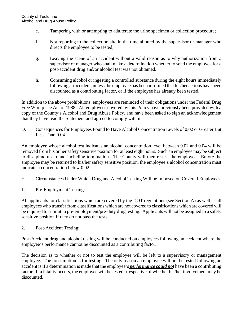- e. Tampering with or attempting to adulterate the urine specimen or collection procedure;
- f. Not reporting to the collection site in the time allotted by the supervisor or manager who directs the employee to be tested;
- g. Leaving the scene of an accident without a valid reason as to why authorization from a supervisor or manager who shall make a determination whether to send the employee for a post-accident drug and/or alcohol test was not obtained.
- h. Consuming alcohol or ingesting a controlled substance during the eight hours immediately following an accident, unless the employee has been informed that his/her actions have been discounted as a contributing factor, or if the employee has already been tested.

In addition to the above prohibitions, employees are reminded of their obligations under the Federal Drug Free Workplace Act of 1988. All employees covered by this Policy have previously been provided with a copy of the County's Alcohol and Drug Abuse Policy, and have been asked to sign an acknowledgement that they have read the Statement and agreed to comply with it.

D. Consequences for Employees Found to Have Alcohol Concentration Levels of 0.02 or Greater But Less Than 0.04

An employee whose alcohol test indicates an alcohol concentration level between 0.02 and 0.04 will be removed from his or her safety sensitive position for at least eight hours. Such an employee may be subject to discipline up to and including termination. The County will then re-test the employee. Before the employee may be returned to his/her safety sensitive position, the employee's alcohol concentration must indicate a concentration below 0.02.

- E. Circumstances Under Which Drug and Alcohol Testing Will be Imposed on Covered Employees
- 1. Pre-Employment Testing:

All applicants for classifications which are covered by the DOT regulations (see Section A) as well as all employees who transfer from classifications which are not covered to classifications which are covered will be required to submit to pre-employment/pre-duty drug testing. Applicants will not be assigned to a safety sensitive position if they do not pass the tests.

2. Post-Accident Testing:

Post-Accident drug and alcohol testing will be conducted on employees following an accident where the employee's performance cannot be discounted as a contributing factor.

The decision as to whether or not to test the employee will be left to a supervisory or management employee. The presumption is for testing. The only reason an employee will not be tested following an accident is if a determination is made that the employee's *performance could not* have been a contributing factor. If a fatality occurs, the employee will be tested irrespective of whether his/her involvement may be discounted.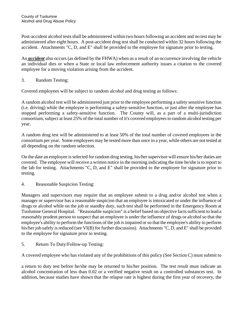Post-accident alcohol tests shall be administered within two hours following an accident and no test may be administered after eight hours. A post-accident drug test shall be conducted within 32 hours following the accident. Attachments "C, D, and E" shall be provided to the employee for signature prior to testing.

An *accident* also occurs (as defined by the FHWA) when as a result of an occurrence involving the vehicle an individual dies or when a State or local law enforcement authority issues a citation to the covered employee for a moving violation arising from the accident.

3. Random Testing:

Covered employees will be subject to random alcohol and drug testing as follows:

A random alcohol test will be administered just prior to the employee performing a safety sensitive function (i.e. driving) while the employee is performing a safety-sensitive function, or just after the employee has stopped performing a safety-sensitive function. The County will, as a part of a multi-jurisdiction consortium, subject at least 25% of the total number of it's covered employees to random alcohol testing per year.

A random drug test will be administered to at least 50% of the total number of covered employees in the consortium per year. Some employees may be tested more than once in a year, while others are not tested at all depending on the random selection.

On the date an employee is selected for random drug testing, his/her supervisor will ensure his/her duties are covered. The employee will receive a written notice in the morning indicating the time he/she is to report to the lab for testing. Attachments "C, D, and E" shall be provided to the employee for signature prior to testing.

4. Reasonable Suspicion Testing:

Managers and supervisors may require that an employee submit to a drug and/or alcohol test when a manager or supervisor has a reasonable suspicion that an employee is intoxicated or under the influence of drugs or alcohol while on the job or standby duty, such test shall be performed in the Emergency Room at Tuolumne General Hospital. "Reasonable suspicion" is a belief based on objective facts sufficient to lead a reasonably prudent person to suspect that an employee is under the influence of drugs or alcohol so that the employee's ability to perform the functions of the job is impaired or so that the employee's ability to perform his/her job safely is reduced (see VI(B) for further discussion). Attachments "C, D, and E" shall be provided to the employee for signature prior to testing.

5. Return To Duty/Follow-up Testing:

A covered employee who has violated any of the prohibitions of this policy (See Section C) must submit to

a return to duty test before he/she may be returned to his/her position. The test result must indicate an alcohol concentration of less than 0.02 or a verified negative result on a controlled substances test. In addition, because studies have shown that the relapse rate is highest during the first year of recovery, the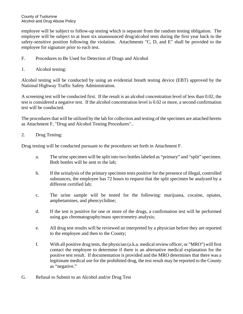employee will be subject to follow-up testing which is separate from the random testing obligation. The employee will be subject to at least six unannounced drug/alcohol tests during the first year back to the safety-sensitive position following the violation. Attachments "C, D, and E" shall be provided to the employee for signature prior to each test.

- F. Procedures to Be Used for Detection of Drugs and Alcohol
- 1. Alcohol testing:

Alcohol testing will be conducted by using an evidential breath testing device (EBT) approved by the National Highway Traffic Safety Administration.

A screening test will be conducted first. If the result is an alcohol concentration level of less than 0.02, the test is considered a negative test. If the alcohol concentration level is 0.02 or more, a second confirmation test will be conducted.

The procedures that will be utilized by the lab for collection and testing of the specimen are attached hereto as Attachment F, "Drug and Alcohol Testing Procedures"..

2. Drug Testing:

Drug testing will be conducted pursuant to the procedures set forth in Attachment F.

- a. The urine specimen will be split into two bottles labeled as "primary" and "split" specimen. Both bottles will be sent to the lab;
- b. If the urinalysis of the primary specimen tests positive for the presence of illegal, controlled substances, the employee has 72 hours to request that the split specimen be analyzed by a different certified lab;
- c. The urine sample will be tested for the following: marijuana, cocaine, opiates, amphetamines, and phencyclidine;
- d. If the test is positive for one or more of the drugs, a confirmation test will be performed using gas chromatography/mass spectrometry analysis;
- e. All drug test results will be reviewed an interpreted by a physician before they are reported to the employee and then to the County;
- f. With all positive drug tests, the physician (a.k.a. medical review officer, or "MRO") will first contact the employee to determine if there is an alternative medical explanation for the positive test result. If documentation is provided and the MRO determines that there was a legitimate medical use for the prohibited drug, the test result may be reported to the County as "negative."
- G. Refusal to Submit to an Alcohol and/or Drug Test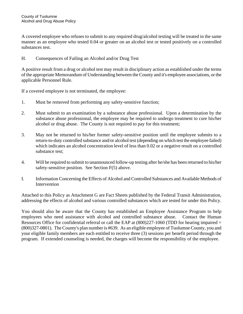A covered employee who refuses to submit to any required drug/alcohol testing will be treated in the same manner as an employee who tested 0.04 or greater on an alcohol test or tested positively on a controlled substances test.

# H. Consequences of Failing an Alcohol and/or Drug Test

A positive result from a drug or alcohol test may result in disciplinary action as established under the terms of the appropriate Memorandum of Understanding between the County and it's employee associations, or the applicable Personnel Rule.

If a covered employee is not terminated, the employee:

- 1. Must be removed from performing any safety-sensitive function;
- 2. Must submit to an examination by a substance abuse professional. Upon a determination by the substance abuse professional, the employee may be required to undergo treatment to cure his/her alcohol or drug abuse. The County is not required to pay for this treatment;
- 3. May not be returned to his/her former safety-sensitive position until the employee submits to a return-to-duty controlled substance and/or alcohol test (depending on which test the employee failed) which indicates an alcohol concentration level of less than 0.02 or a negative result on a controlled substance test;
- 4. Will be required to submit to unannounced follow-up testing after he/she has been returned to his/her safety-sensitive position. See Section F(5) above.
- I. Information Concerning the Effects of Alcohol and Controlled Substances and Available Methods of Intervention

Attached to this Policy as Attachment G are Fact Sheets published by the Federal Transit Administration, addressing the effects of alcohol and various controlled substances which are tested for under this Policy.

You should also be aware that the County has established an Employee Assistance Program to help employees who need assistance with alcohol and controlled substance abuse. Contact the Human Resources Office for confidential referral or call the EAP at  $(800)227-1060$  (TDD for hearing impaired = (800)327-0801). The County's plan number is #639. As an eligible employee of Tuolumne County, you and your eligible family members are each entitled to receive three (3) sessions per benefit period through the program. If extended counseling is needed, the charges will become the responsibility of the employee.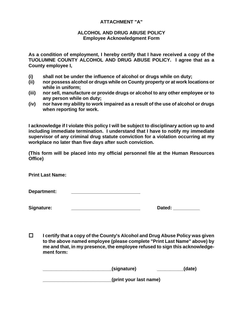# **ATTACHMENT "A"**

#### **ALCOHOL AND DRUG ABUSE POLICY Employee Acknowledgment Form**

**As a condition of employment, I hereby certify that I have received a copy of the TUOLUMNE COUNTY ALCOHOL AND DRUG ABUSE POLICY. I agree that as a County employee I,** 

- **(i) shall not be under the influence of alcohol or drugs while on duty;**
- **(ii) nor possess alcohol or drugs while on County property or at work locations or while in uniform;**
- **(iii) nor sell, manufacture or provide drugs or alcohol to any other employee or to any person while on duty;**
- **(iv) nor have my ability to work impaired as a result of the use of alcohol or drugs when reporting for work.**

**I acknowledge if I violate this policy I will be subject to disciplinary action up to and including immediate termination. I understand that I have to notify my immediate supervisor of any criminal drug statute conviction for a violation occurring at my workplace no later than five days after such conviction.** 

**(This form will be placed into my official personnel file at the Human Resources Office)** 

**Print Last Name:** 

Department:

| Signature: |
|------------|
|------------|

| Signature: | Dated: |
|------------|--------|
|            |        |

 **I certify that a copy of the County's Alcohol and Drug Abuse Policy was given to the above named employee (please complete "Print Last Name" above) by me and that, in my presence, the employee refused to sign this acknowledgement form:** 

| (signature)            | (date) |
|------------------------|--------|
| (print your last name) |        |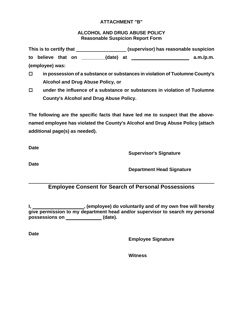# **ATTACHMENT "B"**

# **ALCOHOL AND DRUG ABUSE POLICY Reasonable Suspicion Report Form**

This is to certify that **the substitute of the substitute of the suspicion** (supervisor) has reasonable suspicion to believe that on \_\_\_\_\_\_\_(date) at \_\_\_\_\_\_\_\_\_\_\_\_\_\_\_\_\_\_\_\_\_ a.m./p.m. **(employee) was:** 

- **in possession of a substance or substances in violation of Tuolumne County's Alcohol and Drug Abuse Policy, or**
- **under the influence of a substance or substances in violation of Tuolumne County's Alcohol and Drug Abuse Policy.**

**The following are the specific facts that have led me to suspect that the abovenamed employee has violated the County's Alcohol and Drug Abuse Policy (attach additional page(s) as needed).** 

**Date** 

**Supervisor's Signature** 

**Date** 

**Department Head Signature** 

# **Employee Consent for Search of Personal Possessions**

**I**, \_\_\_\_\_\_\_\_\_\_\_\_\_\_\_\_\_\_\_\_\_\_\_, (employee) do voluntarily and of my own free will hereby **give permission to my department head and/or supervisor to search my personal** possessions on \_\_\_\_\_\_\_\_\_\_\_\_\_\_\_(date).

**Date** 

**Employee Signature** 

**Witness**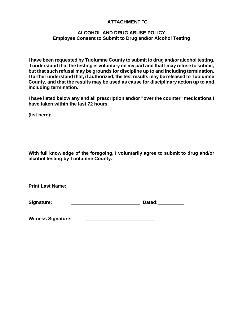# **ATTACHMENT "C"**

# **ALCOHOL AND DRUG ABUSE POLICY Employee Consent to Submit to Drug and/or Alcohol Testing**

**I have been requested by Tuolumne County to submit to drug and/or alcohol testing. I understand that the testing is voluntary on my part and that I may refuse to submit, but that such refusal may be grounds for discipline up to and including termination. I further understand that, if authorized, the test results may be released to Tuolumne County, and that the results may be used as cause for disciplinary action up to and including termination.** 

**I have listed below any and all prescription and/or "over the counter" medications I have taken within the last 72 hours.** 

**(list here):** 

**With full knowledge of the foregoing, I voluntarily agree to submit to drug and/or alcohol testing by Tuolumne County.** 

**Print Last Name:** 

Witness Signature: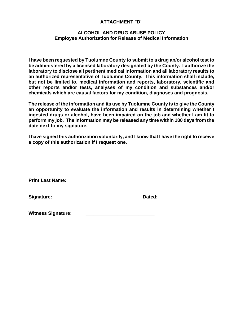# **ATTACHMENT "D"**

## **ALCOHOL AND DRUG ABUSE POLICY Employee Authorization for Release of Medical Information**

**I have been requested by Tuolumne County to submit to a drug an/or alcohol test to be administered by a licensed laboratory designated by the County. I authorize the laboratory to disclose all pertinent medical information and all laboratory results to an authorized representative of Tuolumne County. This information shall include, but not be limited to, medical information and reports, laboratory, scientific and other reports and/or tests, analyses of my condition and substances and/or chemicals which are causal factors for my condition, diagnoses and prognosis.** 

**The release of the information and its use by Tuolumne County is to give the County an opportunity to evaluate the information and results in determining whether I ingested drugs or alcohol, have been impaired on the job and whether I am fit to perform my job. The information may be released any time within 180 days from the date next to my signature.** 

**I have signed this authorization voluntarily, and I know that I have the right to receive a copy of this authorization if I request one.** 

**Print Last Name:** 

| Signature: | Dated: |
|------------|--------|
|            |        |

Witness Signature: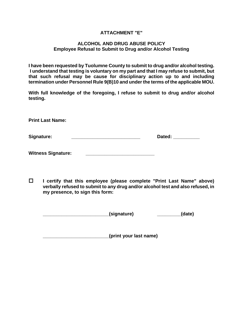#### **ATTACHMENT "E"**

#### **ALCOHOL AND DRUG ABUSE POLICY Employee Refusal to Submit to Drug and/or Alcohol Testing**

**I have been requested by Tuolumne County to submit to drug and/or alcohol testing. I understand that testing is voluntary on my part and that I may refuse to submit, but that such refusal may be cause for disciplinary action up to and including termination under Personnel Rule 9(B)10 and under the terms of the applicable MOU.** 

**With full knowledge of the foregoing, I refuse to submit to drug and/or alcohol testing.** 

**Print Last Name:** 

| Signature: | Dated: |
|------------|--------|
|            |        |

| <b>Witness Signature:</b> |  |
|---------------------------|--|
|---------------------------|--|

 **I certify that this employee (please complete "Print Last Name" above) verbally refused to submit to any drug and/or alcohol test and also refused, in my presence, to sign this form:** 

| (signature) | (date) |
|-------------|--------|
|-------------|--------|

**\_\_\_\_\_\_\_\_\_\_\_\_\_\_\_\_\_\_\_\_\_\_\_\_\_(print your last name)**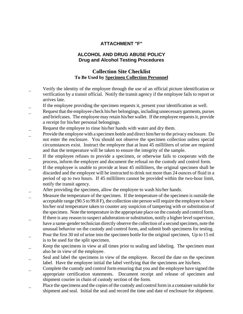# **ATTACHMENT "F"**

# **ALCOHOL AND DRUG ABUSE POLICY Drug and Alcohol Testing Procedures**

# **Collection Site Checklist To Be Used by Specimen Collection Personnel**

- Verify the identity of the employee through the use of an official picture identification or verification by a transit official. Notify the transit agency if the employee fails to report or arrives late.
- If the employee providing the specimen requests it, present your identification as well.
- Request that the employee check his/her belongings, including unnecessary garments, purses and briefcases. The employee may retain his/her wallet. If the employee requests it, provide a receipt for his/her personal belongings.
- Request the employee to rinse his/her hands with water and dry them.
- Provide the employee with a specimen bottle and direct him/her to the privacy enclosure. Do not enter the enclosure. You should not observe the specimen collection unless special circumstances exist. Instruct the employee that at least 45 milliliters of urine are required and that the temperature will be taken to ensure the integrity of the sample.
- If the employee refuses to provide a specimen, or otherwise fails to cooperate with the process, inform the employer and document the refusal on the custody and control form.
- If the employee is unable to provide at least 45 milliliters, the original specimen shall be discarded and the employee will be instructed to drink not more than 24 ounces of fluid in a period of up to two hours. If 45 milliliters cannot be provided within the two-hour limit, notify the transit agency.
- After providing the specimen, allow the employee to wash his/her hands.
- Measure the temperature of the specimen. If the temperature of the specimen is outside the acceptable range (90.5 to 99.8 F), the collection site person will require the employee to have his/her oral temperature taken to counter any suspicion of tampering with or substitution of the specimen. Note the temperature in the appropriate place on the custody and control form.
- If there is any reason to suspect adulteration or substitution, notify a higher level supervisor, have a same-gender technician directly observe the collection of a second specimen, note the unusual behavior on the custody and control form, and submit both specimens for testing.
- Pour the first 30 ml of urine into the specimen bottle for the original specimen, Up to 15 ml is to be used for the split specimen.
- Keep the specimens in view at all times prior to sealing and labeling. The specimen must also be in view of the employee.
- Seal and label the specimens in view of the employee. Record the date on the specimen label. Have the employee initial the label verifying that the specimens are his/hers.
- \_ Complete the custody and control form ensuring that you and the employee have signed the appropriate certification statements. Document receipt and release of specimen and shipment courier in chain of custody section of the form.
- Place the specimens and the copies of the custody and control form in a container suitable for shipment and seal. Initial the seal and record the time and date of enclosure for shipment.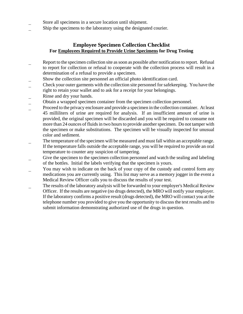- Store all specimens in a secure location until shipment.
- Ship the specimens to the laboratory using the designated courier.

# **Employee Specimen Collection Checklist For Employees Required to Provide Urine Specimens for Drug Testing**

- Report to the specimen collection site as soon as possible after notification to report. Refusal to report for collection or refusal to cooperate with the collection process will result in a determination of a refusal to provide a specimen.
- \_ Show the collection site personnel an official photo identification card.
- \_ Check your outer garments with the collection site personnel for safekeeping. You have the right to retain your wallet and to ask for a receipt for your belongings.
- Rinse and dry your hands.
- \_ Obtain a wrapped specimen container from the specimen collection personnel.
- \_ Proceed to the privacy enclosure and provide a specimen in the collection container. At least 45 milliliters of urine are required for analysis. If an insufficient amount of urine is provided, the original specimen will be discarded and you will be required to consume not more than 24 ounces of fluids in two hours to provide another specimen. Do not tamper with the specimen or make substitutions. The specimen will be visually inspected for unusual color and sediment.
- \_ The temperature of the specimen will be measured and must fall within an acceptable range. If the temperature falls outside the acceptable range, you will be required to provide an oral temperature to counter any suspicion of tampering.
- Give the specimen to the specimen collection personnel and watch the sealing and labeling of the bottles. Initial the labels verifying that the specimen is yours.
- You may wish to indicate on the back of your copy of the custody and control form any medications you are currently using. This list may serve as a memory jogger in the event a Medical Review Officer calls you to discuss the results of your test.
- The results of the laboratory analysis will be forwarded to your employer's Medical Review Officer. If the results are negative (no drugs detected), the MRO will notify your employer. If the laboratory confirms a positive result (drugs detected), the MRO will contact you at the telephone number you provided to give you the opportunity to discuss the test results and to submit information demonstrating authorized use of the drugs in question.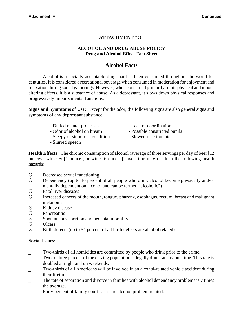# **ATTACHMENT "G"**

## **ALCOHOL AND DRUG ABUSE POLICY Drug and Alcohol Effect Fact Sheet**

# **Alcohol Facts**

Alcohol is a socially acceptable drug that has been consumed throughout the world for centuries. It is considered a recreational beverage when consumed in moderation for enjoyment and relaxation during social gatherings. However, when consumed primarily for its physical and moodaltering effects, it is a substance of abuse. As a depressant, it slows down physical responses and progressively impairs mental functions.

**Signs and Symptoms of Use:** Except for the odor, the following signs are also general signs and symptoms of any depressant substance.

- Dulled mental processes Lack of coordination
- 
- Sleepy or stuporous condition Slowed reaction rate
- Slurred speech
- 
- Odor of alcohol on breath Possible constricted pupils
	-

**Health Effects:** The chronic consumption of alcohol (average of three servings per day of beer [12 ounces], whiskey [1 ounce], or wine [6 ounces]) over time may result in the following health hazards:

- $\odot$  Decreased sexual functioning
- $\odot$  Dependency (up to 10 percent of all people who drink alcohol become physically and/or mentally dependent on alcohol and can be termed "alcoholic")
- $\circledR$  Fatal liver diseases<br> $\circledR$  Increased cancers of
- / Increased cancers of the mouth, tongue, pharynx, esophagus, rectum, breast and malignant melanoma
- $\circledcirc$  Kidney disease
- / Pancreatitis
- $\odot$  Spontaneous abortion and neonatal mortality
- $\otimes$  Ulcers
- $\odot$  Birth defects (up to 54 percent of all birth defects are alcohol related)

#### **Social Issues:**

- \_ Two-thirds of all homicides are committed by people who drink prior to the crime.
- Two to three percent of the driving population is legally drunk at any one time. This rate is doubled at night and on weekends.
- \_ Two-thirds of all Americans will be involved in an alcohol-related vehicle accident during their lifetimes.
- The rate of separation and divorce in families with alcohol dependency problems is 7 times the average.
- Forty percent of family court cases are alcohol problem related.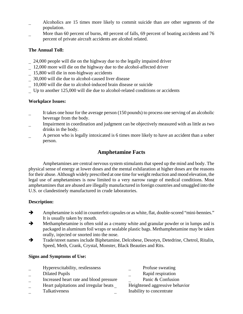- \_ Alcoholics are 15 times more likely to commit suicide than are other segments of the population.
- More than 60 percent of burns, 40 percent of falls, 69 percent of boating accidents and 76 percent of private aircraft accidents are alcohol related.

# **The Annual Toll:**

- \_ 24,000 people will die on the highway due to the legally impaired driver
- \_ 12,000 more will die on the highway due to the alcohol-affected driver
- \_ 15,800 will die in non-highway accidents
- \_ 30,000 will die due to alcohol-caused liver disease
- \_ 10,000 will die due to alcohol-induced brain disease or suicide
- \_ Up to another 125,000 will die due to alcohol-related conditions or accidents

# **Workplace Issues:**

- It takes one hour for the average person (150 pounds) to process one serving of an alcoholic beverage from the body.
- Impairment in coordination and judgment can be objectively measured with as little as two drinks in the body.
- A person who is legally intoxicated is 6 times more likely to have an accident than a sober person.

# **Amphetamine Facts**

Amphetamines are central nervous system stimulants that speed up the mind and body. The physical sense of energy at lower doses and the mental exhilaration at higher doses are the reasons for their abuse. Although widely prescribed at one time for weight reduction and mood elevation, the legal use of amphetamines is now limited to a very narrow range of medical conditions. Most amphetamines that are abused are illegally manufactured in foreign countries and smuggled into the U.S. or clandestinely manufactured in crude laboratories.

# **Description:**

- Amphetamine is sold in counterfeit capsules or as white, flat, double-scored "mini-bennies." It is usually taken by mouth.
- $\rightarrow$  Methamphetamine is often sold as a creamy white and granular powder or in lumps and is packaged in aluminum foil wraps or sealable plastic bags. Methamphetamine may be taken orally, injected or snorted into the nose.
- $\rightarrow$  Trade/street names include Biphetamine, Delcobese, Desotyn, Detedrine, Chetrol, Ritalin, Speed, Meth, Crank, Crystal, Monster, Black Beauties and Rits.

#### **Signs and Symptoms of Use:**

- \_ Hyperexcitability, restlessness \_ Profuse sweating
- 
- \_ Increased heart rate and blood pressure \_ Panic & Confusion
- \_ Heart palpitations and irregular beats \_ Heightened aggressive behavior
- Talkativeness **Inability** to concentrate
- 
- Dilated Pupils **Rapid respiration** 
	-
	-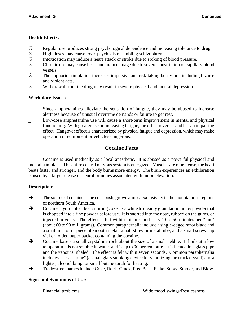# **Health Effects:**

- / Regular use produces strong psychological dependence and increasing tolerance to drug.
- $\circled{e}$  High doses may cause toxic psychosis resembling schizophrenia.<br> $\circled{e}$  Intoxication may induce a heart attack or stroke due to spiking of
- Intoxication may induce a heart attack or stroke due to spiking of blood pressure.
- $\odot$  Chronic use may cause heart and brain damage due to severe constriction of capillary blood vessels.
- $\odot$  The euphoric stimulation increases impulsive and risk-taking behaviors, including bizarre and violent acts.
- $\odot$  Withdrawal from the drug may result in severe physical and mental depression.

# **Workplace Issues:**

- Since amphetamines alleviate the sensation of fatigue, they may be abused to increase alertness because of unusual overtime demands or failure to get rest.
- Low-dose amphetamine use will cause a short-term improvement in mental and physical functioning. With greater use or increasing fatigue, the effect reverses and has an impairing effect. Hangover effect is characterized by physical fatigue and depression, which may make operation of equipment or vehicles dangerous.

# **Cocaine Facts**

Cocaine is used medically as a local anesthetic. It is abused as a powerful physical and mental stimulant. The entire central nervous system is energized. Muscles are more tense, the heart beats faster and stronger, and the body burns more energy. The brain experiences an exhilaration caused by a large release of neurohormones associated with mood elevation.

# **Description:**

- $\rightarrow$  The source of cocaine is the coca bush, grown almost exclusively in the mountainous regions of northern South America.
- $\rightarrow$  Cocaine Hydrochloride "snorting coke" is a white to creamy granular or lumpy powder that is chopped into a fine powder before use. It is snorted into the nose, rubbed on the gums, or injected in veins. The effect is felt within minutes and lasts 40 to 50 minutes per "line" (about 60 to 90 milligrams). Common paraphernalia include a single-edged razor blade and a small mirror or piece of smooth metal, a half straw or metal tube, and a small screw cap vial or folded paper packet containing the cocaine.
- $\rightarrow$  Cocaine base a small crystalline rock about the size of a small pebble. It boils at a low temperature, is not soluble in water, and is up to 90 percent pure. It is heated in a glass pipe and the vapor is inhaled. The effect is felt within seven seconds. Common paraphernalia includes a "crack pipe" (a small glass smoking device for vaporizing the crack crystal) and a lighter, alcohol lamp, or small butane torch for heating.
- $\rightarrow$  Trade/street names include Coke, Rock, Crack, Free Base, Flake, Snow, Smoke, and Blow.

# **Signs and Symptoms of Use:**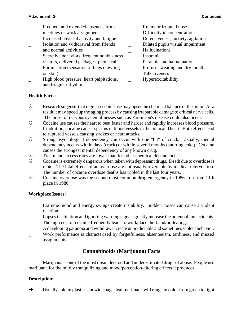- 
- Frequent and extended absences from **EXECUTE:** Runny or irritated nose meetings or work assignment **Difficulty in concentration**
- Increased physical activity and fatigue <br>
<br>
<u>Defensiveness</u>, anxiety, agitation
- Isolation and withdrawal from friends  $\qquad \qquad \qquad$  Dilated pupils/visual impairment
- Secretive behaviors, frequent nonbusiness \_ Insomnia visitors, delivered packages, phone calls \_ Paranoia and hallucinations
- Formication (sensation of bugs crawling  $\qquad$  Profuse sweating and dry mouth on skin) and the Talkativeness on skin
- High blood pressure, heart palpitations, <br>Hyperexcitabilithy and irregular rhythm
- 
- 
- 
- 
- and normal activities \_ Hallucinations
	- -
	-
	-
	-

# **Health Facts:**

- $\odot$  Research suggests that regular cocaine use may upset the chemical balance of the brain. As a result it may speed up the aging process by causing irreparable damage to critical nerve cells. The onset of nervous system illnesses such as Parkinson's disease could also occur.
- / Cocaine use causes the heart to beat faster and harder and rapidly increases blood pressure. In addition, cocaine causes spasms of blood vessels in the brain and heart. Both effects lead to ruptured vessels causing strokes or heart attacks.
- / Strong psychological dependency can occur with one "hit" of crack. Usually, mental dependency occurs within days (crack) or within several months (snorting coke). Cocaine causes the strongest mental dependency of any known drug.
- / Treatment success rates are lower than for other chemical dependencies.
- $\odot$  Cocaine is extremely dangerous when taken with depressant drugs. Death due to overdose is rapid. The fatal effects of an overdose are not usually reversible by medical intervention. The number of cocaine overdose deaths has tripled in the last four years.
- / Cocaine overdose was the second most common drug emergency in 1986 up from 11th place in 1980.

#### **Workplace Issues:**

- Extreme mood and energy swings create instability. Sudden noises can cause a violent reaction.
- Lapses in attention and ignoring warning signals greatly increase the potential for accidents.
- \_ The high cost of cocaine frequently leads to workplace theft and/or dealing.
- A developing paranoia and withdrawal create unpredictable and sometimes violent behavior.
- \_ Work performance is characterized by forgetfulness, absenteeism, tardiness, and missed assignments.

# **Cannabinoids (Marijuana) Facts**

Marijuana is one of the most misunderstood and underestimated drugs of abuse. People use marijuana for the mildly tranquilizing and mood/perception-altering effects it produces.

# **Description:**

 $\rightarrow$  Usually sold in plastic sandwich bags, leaf marijuana will range in color from green to light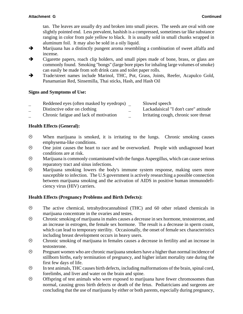tan. The leaves are usually dry and broken into small pieces. The seeds are oval with one slightly pointed end. Less prevalent, hashish is a compressed, sometimes tar like substance ranging in color from pale yellow to black. It is usually sold in small chunks wrapped in aluminum foil. It may also be sold in a oily liquid.

- $\rightarrow$  Marijuana has a distinctly pungent aroma resembling a combination of sweet alfalfa and incense.
- $\rightarrow$  Cigarette papers, roach clip holders, and small pipes made of bone, brass, or glass are commonly found. Smoking "bongs" (large bore pipes for inhaling large volumes of smoke) can easily be made from soft drink cans and toilet paper rolls.
- $\rightarrow$  Trade/street names include Marinol, THC, Pot, Grass, Joints, Reefer, Acapulco Gold, Panamanian Red, Sinsemilla, Thai sticks, Hash, and Hash Oil

# **Signs and Symptoms of Use:**

| Reddened eyes (often masked by eyedrops) | Slowed speech                         |
|------------------------------------------|---------------------------------------|
| Distinctive odor on clothing             | Lackadaisical "I don't care" attitude |
| Chronic fatigue and lack of motivation   | Irritating cough, chronic sore throat |

# **Health Effects (General):**

- $\odot$  When marijuana is smoked, it is irritating to the lungs. Chronic smoking causes emphysema-like conditions.
- / One joint causes the heart to race and be overworked. People with undiagnosed heart conditions are at risk.
- $\odot$  Marijuana is commonly contaminated with the fungus Aspergillus, which can cause serious reparatory tract and sinus infections.
- $\odot$  Marijuana smoking lowers the body's immune system response, making users more susceptible to infection. The U.S government is actively researching a possible connection between marijuana smoking and the activation of AIDS in positive human immunodeficiency virus (HIV) carriers.

# **Health Effects (Pregnancy Problems and Birth Defects):**

- / The active chemical, tetrahydrocannabinol (THC) and 60 other related chemicals in marijuana concentrate in the ovaries and testes.
- / Chronic smoking of marijuana in males causes a decrease in sex hormone, testosterone, and an increase in estrogen, the female sex hormone. The result is a decrease in sperm count, which can lead to temporary sterility. Occasionally, the onset of female sex characteristics including breast development occurs in heavy users.
- / Chronic smoking of marijuana in females causes a decrease in fertility and an increase in testosterone.
- $\odot$  Pregnant women who are chronic marijuana smokers have a higher than normal incidence of stillborn births, early termination of pregnancy, and higher infant mortality rate during the first few days of life.
- / In test animals, THC causes birth defects, including malformations of the brain, spinal cord, forelimbs, and liver and water on the brain and spine.
- $\circledcirc$  Offspring of test animals who were exposed to marijuana have fewer chromosomes than normal, causing gross birth defects or death of the fetus. Pediatricians and surgeons are concluding that the use of marijuana by either or both parents, especially during pregnancy,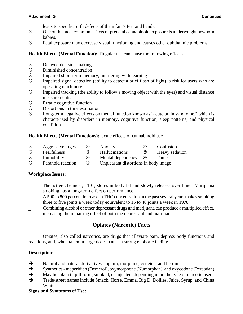leads to specific birth defects of the infant's feet and hands.

- $\odot$  One of the most common effects of prenatal cannabinoid exposure is underweight newborn babies.
- $\odot$  Fetal exposure may decrease visual functioning and causes other ophthalmic problems.

**Health Effects (Mental Function):** Regular use can cause the following effects...

- $\circledcirc$  Delayed decision-making<br> $\circledcirc$  Diminished concentration
- Diminished concentration
- $\odot$  Impaired short-term memory, interfering with learning
- $\odot$  Impaired signal detection (ability to detect a brief flash of light), a risk for users who are operating machinery
- $\odot$  Impaired tracking (the ability to follow a moving object with the eyes) and visual distance measurements.
- $\odot$  Erratic cognitive function
- $\circledcirc$  Distortions in time estimation<br> $\circledcirc$  Long-term negative effects on
- Long-term negative effects on mental function known as "acute brain syndrome," which is characterized by disorders in memory, cognitive function, sleep patterns, and physical condition.

#### **Health Effects (Mental Functions):** acute effects of cannabinoid use

- $\circledcirc$  Aggressive urges  $\circledcirc$  Anxiety  $\circledcirc$  Confusion
- $\circledcirc$  Fearfulness  $\circledcirc$  Hallucinations  $\circledcirc$  Heavy sedation
- $\circledcirc$  Immobility  $\circledcirc$  Mental dependency  $\circledcirc$  Panic
- $\circledcirc$  Paranoid reaction  $\circledcirc$  Unpleasant distortions in body image

#### **Workplace Issues:**

- The active chemical, THC, stores in body fat and slowly releases over time. Marijuana smoking has a long-term effect on performance.
- A 500 to 800 percent increase in THC concentration in the past several years makes smoking three to five joints a week today equivalent to 15 to 40 joints a week in 1978.
- \_ Combining alcohol or other depressant drugs and marijuana can produce a multiplied effect, increasing the impairing effect of both the depressant and marijuana.

# **Opiates (Narcotic) Facts**

Opiates, also called narcotics, are drugs that alleviate pain, depress body functions and reactions, and, when taken in large doses, cause a strong euphoric feeling.

#### **Description:**

- $\rightarrow$  Natural and natural derivatives opium, morphine, codeine, and heroin
- $\rightarrow$  Synthetics meperidien (Demerol), oxymorphone (Numorphan), and oxycodone (Percodan)
- $\rightarrow$  May be taken in pill form, smoked, or injected, depending upon the type of narcotic used.
- $\rightarrow$  Trade/street names include Smack, Horse, Emma, Big D, Dollies, Juice, Syrup, and China White.

#### **Signs and Symptoms of Use:**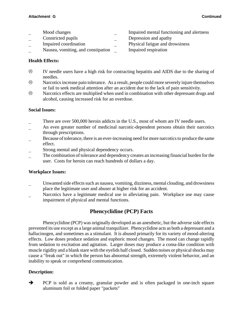- 
- \_ Constricted pupils \_ Depression and apathy
- 
- Nausea, vomiting, and constipation **Impaired respiration**
- Mood changes **Impaired mental functioning and alertness** 
	-
- Impaired coordination **Physical fatigue and drowsiness** 
	-

# **Health Effects:**

- $\odot$  IV needle users have a high risk for contracting hepatitis and AIDS due to the sharing of needles.
- $\odot$  Narcotics increase pain tolerance. As a result, people could more severely injure themselves or fail to seek medical attention after an accident due to the lack of pain sensitivity.
- $\odot$  Narcotics effects are multiplied when used in combination with other depressant drugs and alcohol, causing increased risk for an overdose.

# **Social Issues:**

- There are over 500,000 heroin addicts in the U.S., most of whom are IV needle users.
- An even greater number of medicinal narcotic-dependent persons obtain their narcotics through prescriptions.
- Because of tolerance, there is an ever-increasing need for more narcotics to produce the same effect.
- Strong mental and physical dependency occurs.
- The combination of tolerance and dependency creates an increasing financial burden for the user. Costs for heroin can reach hundreds of dollars a day.

#### **Workplace Issues:**

- Unwanted side effects such as nausea, vomiting, dizziness, mental clouding, and drowsiness place the legitimate user and abuser at higher risk for an accident.
- Narcotics have a legitimate medical use in alleviating pain. Workplace use may cause impairment of physical and mental functions.

# **Phencyclidine (PCP) Facts**

Phencyclidine (PCP) was originally developed as an anesthetic, but the adverse side effects prevented its use except as a large animal tranquilizer. Phencyclidine acts as both a depressant and a hallucinogen, and sometimes as a stimulant. It is abused primarily for its variety of mood-altering effects. Low doses produce sedation and euphoric mood changes. The mood can change rapidly from sedation to excitation and agitation. Larger doses may produce a coma-like condition with muscle rigidity and a blank stare with the eyelids half closed. Sudden noises or physical shocks may cause a "freak out" in which the person has abnormal strength, extremely violent behavior, and an inability to speak or comprehend communication.

# **Description:**

• PCP is sold as a creamy, granular powder and is often packaged in one-inch square aluminum foil or folded paper "packets"